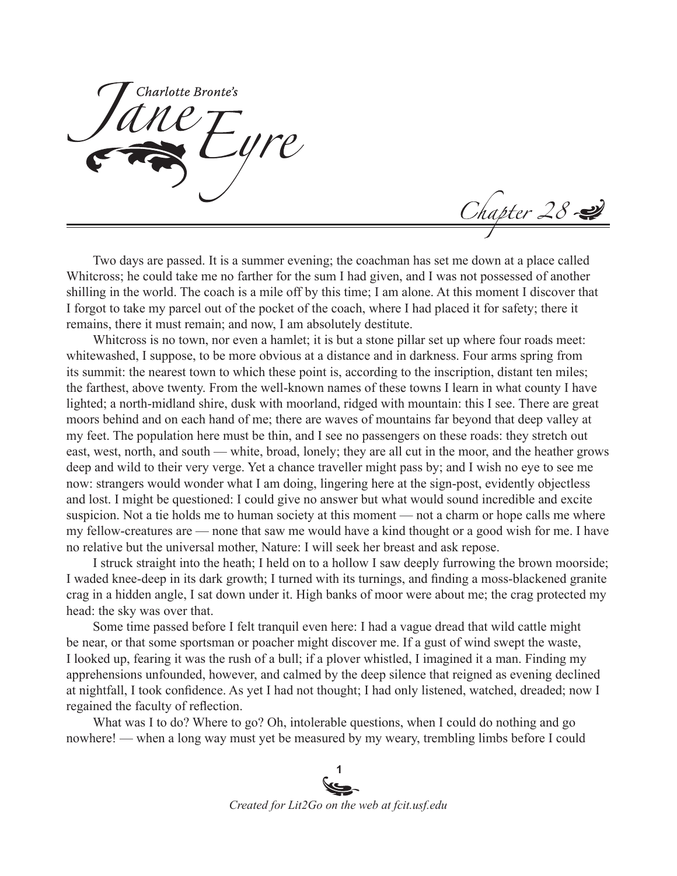Charlotte Bronte's

Two days are passed. It is a summer evening; the coachman has set me down at a place called Whitcross; he could take me no farther for the sum I had given, and I was not possessed of another shilling in the world. The coach is a mile off by this time; I am alone. At this moment I discover that I forgot to take my parcel out of the pocket of the coach, where I had placed it for safety; there it remains, there it must remain; and now, I am absolutely destitute.

Chapter 28

Whitcross is no town, nor even a hamlet; it is but a stone pillar set up where four roads meet: whitewashed, I suppose, to be more obvious at a distance and in darkness. Four arms spring from its summit: the nearest town to which these point is, according to the inscription, distant ten miles; the farthest, above twenty. From the well-known names of these towns I learn in what county I have lighted; a north-midland shire, dusk with moorland, ridged with mountain: this I see. There are great moors behind and on each hand of me; there are waves of mountains far beyond that deep valley at my feet. The population here must be thin, and I see no passengers on these roads: they stretch out east, west, north, and south — white, broad, lonely; they are all cut in the moor, and the heather grows deep and wild to their very verge. Yet a chance traveller might pass by; and I wish no eye to see me now: strangers would wonder what I am doing, lingering here at the sign-post, evidently objectless and lost. I might be questioned: I could give no answer but what would sound incredible and excite suspicion. Not a tie holds me to human society at this moment — not a charm or hope calls me where my fellow-creatures are — none that saw me would have a kind thought or a good wish for me. I have no relative but the universal mother, Nature: I will seek her breast and ask repose.

I struck straight into the heath; I held on to a hollow I saw deeply furrowing the brown moorside; I waded knee-deep in its dark growth; I turned with its turnings, and finding a moss-blackened granite crag in a hidden angle, I sat down under it. High banks of moor were about me; the crag protected my head: the sky was over that.

Some time passed before I felt tranquil even here: I had a vague dread that wild cattle might be near, or that some sportsman or poacher might discover me. If a gust of wind swept the waste, I looked up, fearing it was the rush of a bull; if a plover whistled, I imagined it a man. Finding my apprehensions unfounded, however, and calmed by the deep silence that reigned as evening declined at nightfall, I took confidence. As yet I had not thought; I had only listened, watched, dreaded; now I regained the faculty of reflection.

What was I to do? Where to go? Oh, intolerable questions, when I could do nothing and go nowhere! — when a long way must yet be measured by my weary, trembling limbs before I could

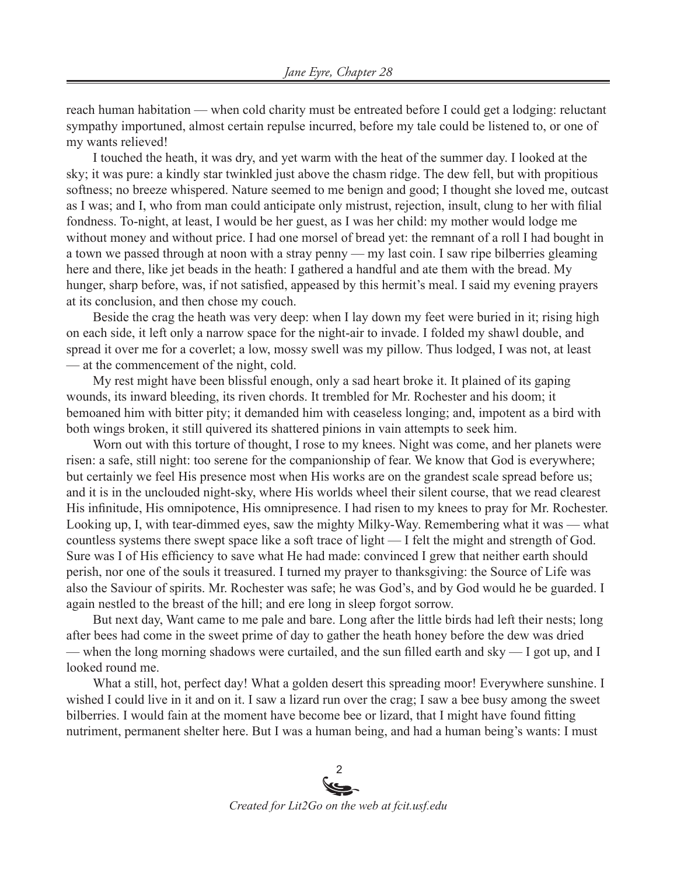reach human habitation — when cold charity must be entreated before I could get a lodging: reluctant sympathy importuned, almost certain repulse incurred, before my tale could be listened to, or one of my wants relieved!

I touched the heath, it was dry, and yet warm with the heat of the summer day. I looked at the sky; it was pure: a kindly star twinkled just above the chasm ridge. The dew fell, but with propitious softness; no breeze whispered. Nature seemed to me benign and good; I thought she loved me, outcast as I was; and I, who from man could anticipate only mistrust, rejection, insult, clung to her with filial fondness. To-night, at least, I would be her guest, as I was her child: my mother would lodge me without money and without price. I had one morsel of bread yet: the remnant of a roll I had bought in a town we passed through at noon with a stray penny — my last coin. I saw ripe bilberries gleaming here and there, like jet beads in the heath: I gathered a handful and ate them with the bread. My hunger, sharp before, was, if not satisfied, appeased by this hermit's meal. I said my evening prayers at its conclusion, and then chose my couch.

Beside the crag the heath was very deep: when I lay down my feet were buried in it; rising high on each side, it left only a narrow space for the night-air to invade. I folded my shawl double, and spread it over me for a coverlet; a low, mossy swell was my pillow. Thus lodged, I was not, at least — at the commencement of the night, cold.

My rest might have been blissful enough, only a sad heart broke it. It plained of its gaping wounds, its inward bleeding, its riven chords. It trembled for Mr. Rochester and his doom; it bemoaned him with bitter pity; it demanded him with ceaseless longing; and, impotent as a bird with both wings broken, it still quivered its shattered pinions in vain attempts to seek him.

Worn out with this torture of thought, I rose to my knees. Night was come, and her planets were risen: a safe, still night: too serene for the companionship of fear. We know that God is everywhere; but certainly we feel His presence most when His works are on the grandest scale spread before us; and it is in the unclouded night-sky, where His worlds wheel their silent course, that we read clearest His infinitude, His omnipotence, His omnipresence. I had risen to my knees to pray for Mr. Rochester. Looking up, I, with tear-dimmed eyes, saw the mighty Milky-Way. Remembering what it was — what countless systems there swept space like a soft trace of light — I felt the might and strength of God. Sure was I of His efficiency to save what He had made: convinced I grew that neither earth should perish, nor one of the souls it treasured. I turned my prayer to thanksgiving: the Source of Life was also the Saviour of spirits. Mr. Rochester was safe; he was God's, and by God would he be guarded. I again nestled to the breast of the hill; and ere long in sleep forgot sorrow.

But next day, Want came to me pale and bare. Long after the little birds had left their nests; long after bees had come in the sweet prime of day to gather the heath honey before the dew was dried — when the long morning shadows were curtailed, and the sun filled earth and sky — I got up, and I looked round me.

What a still, hot, perfect day! What a golden desert this spreading moor! Everywhere sunshine. I wished I could live in it and on it. I saw a lizard run over the crag; I saw a bee busy among the sweet bilberries. I would fain at the moment have become bee or lizard, that I might have found fitting nutriment, permanent shelter here. But I was a human being, and had a human being's wants: I must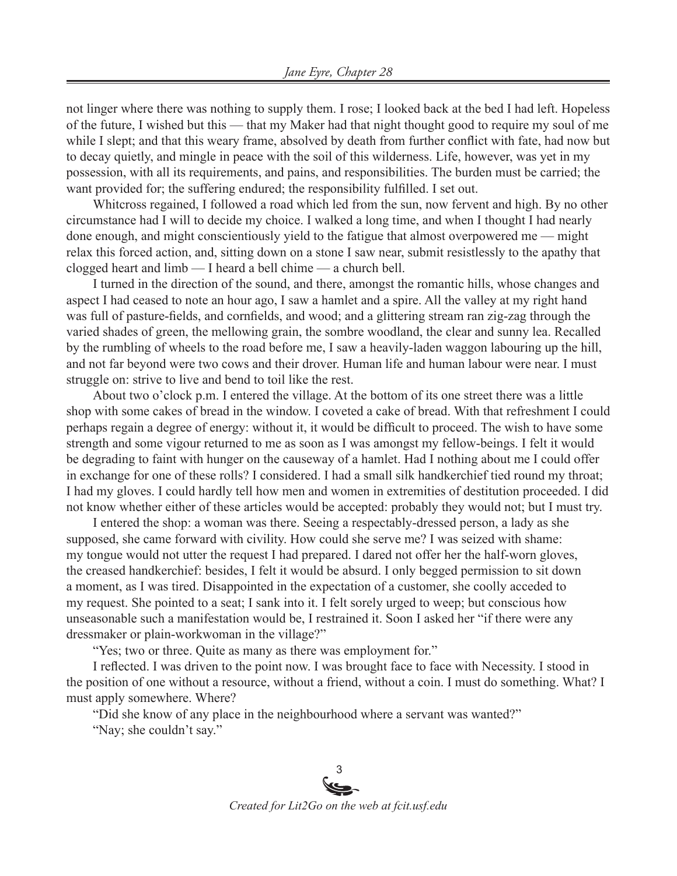not linger where there was nothing to supply them. I rose; I looked back at the bed I had left. Hopeless of the future, I wished but this — that my Maker had that night thought good to require my soul of me while I slept; and that this weary frame, absolved by death from further conflict with fate, had now but to decay quietly, and mingle in peace with the soil of this wilderness. Life, however, was yet in my possession, with all its requirements, and pains, and responsibilities. The burden must be carried; the want provided for; the suffering endured; the responsibility fulfilled. I set out.

Whitcross regained, I followed a road which led from the sun, now fervent and high. By no other circumstance had I will to decide my choice. I walked a long time, and when I thought I had nearly done enough, and might conscientiously yield to the fatigue that almost overpowered me — might relax this forced action, and, sitting down on a stone I saw near, submit resistlessly to the apathy that clogged heart and limb — I heard a bell chime — a church bell.

I turned in the direction of the sound, and there, amongst the romantic hills, whose changes and aspect I had ceased to note an hour ago, I saw a hamlet and a spire. All the valley at my right hand was full of pasture-fields, and cornfields, and wood; and a glittering stream ran zig-zag through the varied shades of green, the mellowing grain, the sombre woodland, the clear and sunny lea. Recalled by the rumbling of wheels to the road before me, I saw a heavily-laden waggon labouring up the hill, and not far beyond were two cows and their drover. Human life and human labour were near. I must struggle on: strive to live and bend to toil like the rest.

About two o'clock p.m. I entered the village. At the bottom of its one street there was a little shop with some cakes of bread in the window. I coveted a cake of bread. With that refreshment I could perhaps regain a degree of energy: without it, it would be difficult to proceed. The wish to have some strength and some vigour returned to me as soon as I was amongst my fellow-beings. I felt it would be degrading to faint with hunger on the causeway of a hamlet. Had I nothing about me I could offer in exchange for one of these rolls? I considered. I had a small silk handkerchief tied round my throat; I had my gloves. I could hardly tell how men and women in extremities of destitution proceeded. I did not know whether either of these articles would be accepted: probably they would not; but I must try.

I entered the shop: a woman was there. Seeing a respectably-dressed person, a lady as she supposed, she came forward with civility. How could she serve me? I was seized with shame: my tongue would not utter the request I had prepared. I dared not offer her the half-worn gloves, the creased handkerchief: besides, I felt it would be absurd. I only begged permission to sit down a moment, as I was tired. Disappointed in the expectation of a customer, she coolly acceded to my request. She pointed to a seat; I sank into it. I felt sorely urged to weep; but conscious how unseasonable such a manifestation would be, I restrained it. Soon I asked her "if there were any dressmaker or plain-workwoman in the village?"

"Yes; two or three. Quite as many as there was employment for."

I reflected. I was driven to the point now. I was brought face to face with Necessity. I stood in the position of one without a resource, without a friend, without a coin. I must do something. What? I must apply somewhere. Where?

"Did she know of any place in the neighbourhood where a servant was wanted?" "Nay; she couldn't say."

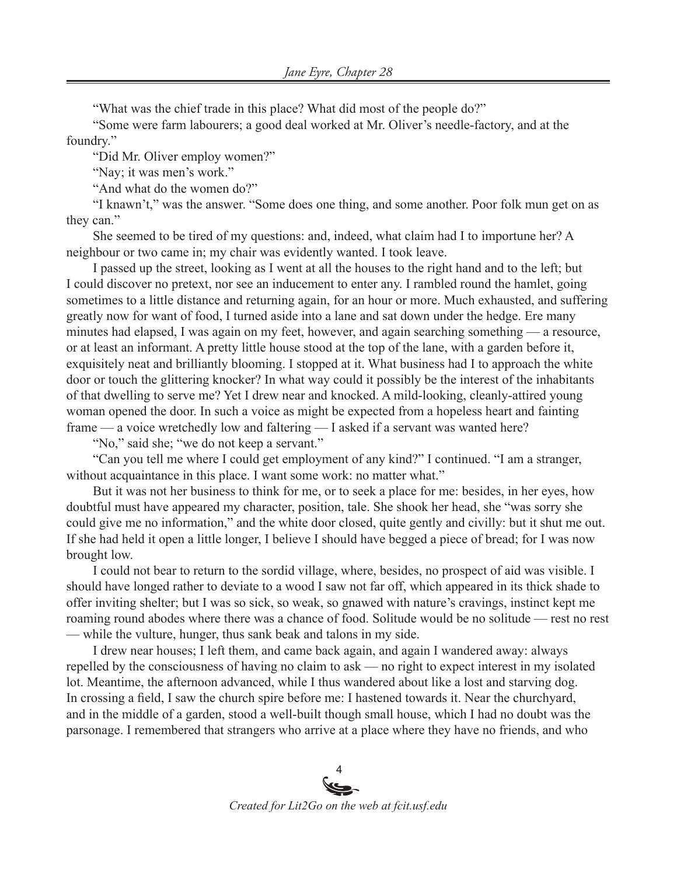"What was the chief trade in this place? What did most of the people do?"

"Some were farm labourers; a good deal worked at Mr. Oliver's needle-factory, and at the foundry."

"Did Mr. Oliver employ women?"

"Nay; it was men's work."

"And what do the women do?"

"I knawn't," was the answer. "Some does one thing, and some another. Poor folk mun get on as they can."

She seemed to be tired of my questions: and, indeed, what claim had I to importune her? A neighbour or two came in; my chair was evidently wanted. I took leave.

I passed up the street, looking as I went at all the houses to the right hand and to the left; but I could discover no pretext, nor see an inducement to enter any. I rambled round the hamlet, going sometimes to a little distance and returning again, for an hour or more. Much exhausted, and suffering greatly now for want of food, I turned aside into a lane and sat down under the hedge. Ere many minutes had elapsed, I was again on my feet, however, and again searching something — a resource, or at least an informant. A pretty little house stood at the top of the lane, with a garden before it, exquisitely neat and brilliantly blooming. I stopped at it. What business had I to approach the white door or touch the glittering knocker? In what way could it possibly be the interest of the inhabitants of that dwelling to serve me? Yet I drew near and knocked. A mild-looking, cleanly-attired young woman opened the door. In such a voice as might be expected from a hopeless heart and fainting frame — a voice wretchedly low and faltering — I asked if a servant was wanted here?

"No," said she; "we do not keep a servant."

"Can you tell me where I could get employment of any kind?" I continued. "I am a stranger, without acquaintance in this place. I want some work: no matter what."

But it was not her business to think for me, or to seek a place for me: besides, in her eyes, how doubtful must have appeared my character, position, tale. She shook her head, she "was sorry she could give me no information," and the white door closed, quite gently and civilly: but it shut me out. If she had held it open a little longer, I believe I should have begged a piece of bread; for I was now brought low.

I could not bear to return to the sordid village, where, besides, no prospect of aid was visible. I should have longed rather to deviate to a wood I saw not far off, which appeared in its thick shade to offer inviting shelter; but I was so sick, so weak, so gnawed with nature's cravings, instinct kept me roaming round abodes where there was a chance of food. Solitude would be no solitude — rest no rest — while the vulture, hunger, thus sank beak and talons in my side.

I drew near houses; I left them, and came back again, and again I wandered away: always repelled by the consciousness of having no claim to ask — no right to expect interest in my isolated lot. Meantime, the afternoon advanced, while I thus wandered about like a lost and starving dog. In crossing a field, I saw the church spire before me: I hastened towards it. Near the churchyard, and in the middle of a garden, stood a well-built though small house, which I had no doubt was the parsonage. I remembered that strangers who arrive at a place where they have no friends, and who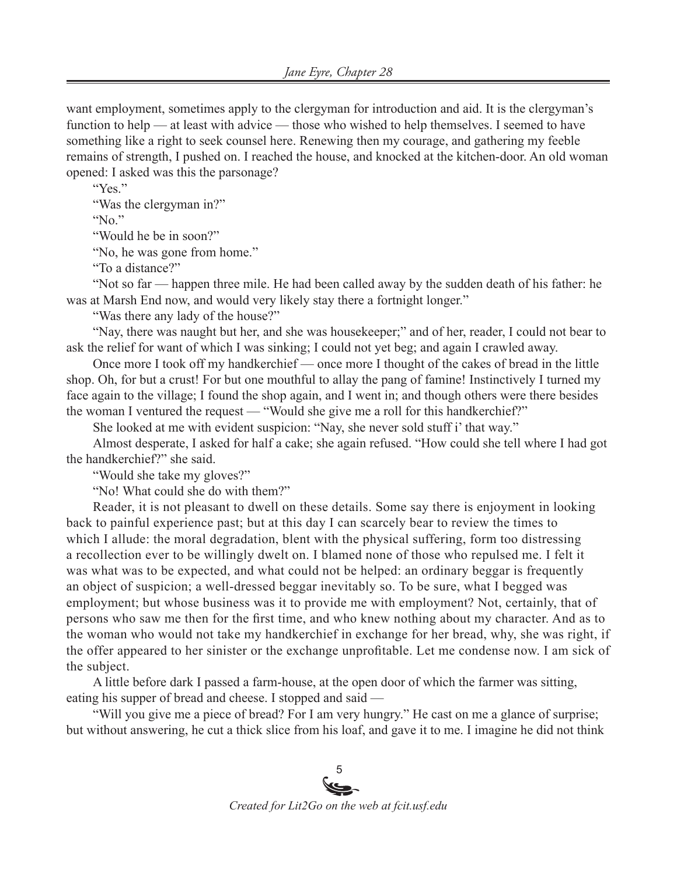want employment, sometimes apply to the clergyman for introduction and aid. It is the clergyman's function to help — at least with advice — those who wished to help themselves. I seemed to have something like a right to seek counsel here. Renewing then my courage, and gathering my feeble remains of strength, I pushed on. I reached the house, and knocked at the kitchen-door. An old woman opened: I asked was this the parsonage?

"Yes."

"Was the clergyman in?"

" $No$ "

"Would he be in soon?"

"No, he was gone from home."

"To a distance?"

"Not so far — happen three mile. He had been called away by the sudden death of his father: he was at Marsh End now, and would very likely stay there a fortnight longer."

"Was there any lady of the house?"

"Nay, there was naught but her, and she was housekeeper;" and of her, reader, I could not bear to ask the relief for want of which I was sinking; I could not yet beg; and again I crawled away.

Once more I took off my handkerchief — once more I thought of the cakes of bread in the little shop. Oh, for but a crust! For but one mouthful to allay the pang of famine! Instinctively I turned my face again to the village; I found the shop again, and I went in; and though others were there besides the woman I ventured the request — "Would she give me a roll for this handkerchief?"

She looked at me with evident suspicion: "Nay, she never sold stuff i' that way."

Almost desperate, I asked for half a cake; she again refused. "How could she tell where I had got the handkerchief?" she said.

"Would she take my gloves?"

"No! What could she do with them?"

Reader, it is not pleasant to dwell on these details. Some say there is enjoyment in looking back to painful experience past; but at this day I can scarcely bear to review the times to which I allude: the moral degradation, blent with the physical suffering, form too distressing a recollection ever to be willingly dwelt on. I blamed none of those who repulsed me. I felt it was what was to be expected, and what could not be helped: an ordinary beggar is frequently an object of suspicion; a well-dressed beggar inevitably so. To be sure, what I begged was employment; but whose business was it to provide me with employment? Not, certainly, that of persons who saw me then for the first time, and who knew nothing about my character. And as to the woman who would not take my handkerchief in exchange for her bread, why, she was right, if the offer appeared to her sinister or the exchange unprofitable. Let me condense now. I am sick of the subject.

A little before dark I passed a farm-house, at the open door of which the farmer was sitting, eating his supper of bread and cheese. I stopped and said —

"Will you give me a piece of bread? For I am very hungry." He cast on me a glance of surprise; but without answering, he cut a thick slice from his loaf, and gave it to me. I imagine he did not think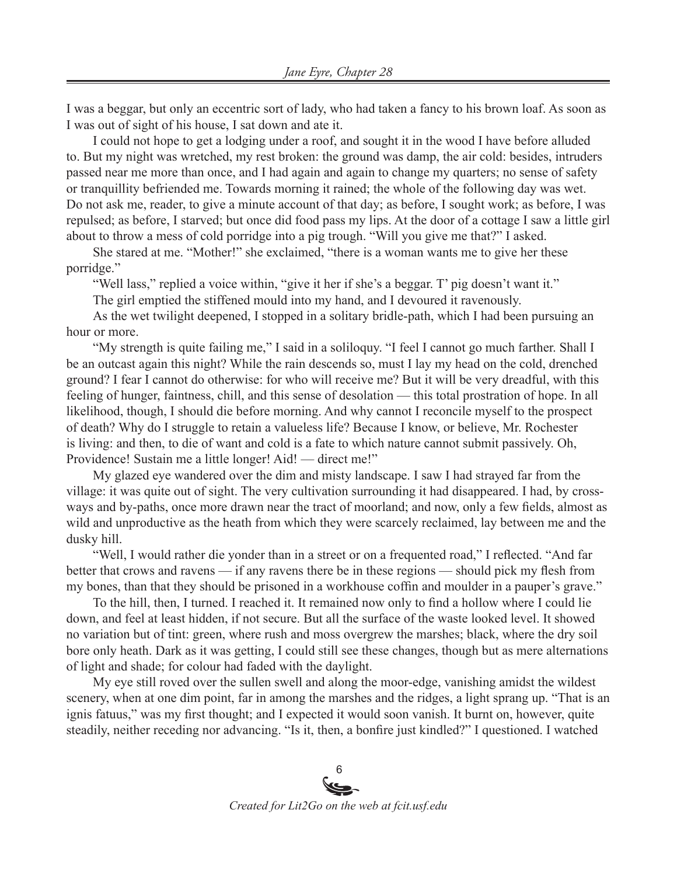I was a beggar, but only an eccentric sort of lady, who had taken a fancy to his brown loaf. As soon as I was out of sight of his house, I sat down and ate it.

I could not hope to get a lodging under a roof, and sought it in the wood I have before alluded to. But my night was wretched, my rest broken: the ground was damp, the air cold: besides, intruders passed near me more than once, and I had again and again to change my quarters; no sense of safety or tranquillity befriended me. Towards morning it rained; the whole of the following day was wet. Do not ask me, reader, to give a minute account of that day; as before, I sought work; as before, I was repulsed; as before, I starved; but once did food pass my lips. At the door of a cottage I saw a little girl about to throw a mess of cold porridge into a pig trough. "Will you give me that?" I asked.

She stared at me. "Mother!" she exclaimed, "there is a woman wants me to give her these porridge."

"Well lass," replied a voice within, "give it her if she's a beggar. T' pig doesn't want it."

The girl emptied the stiffened mould into my hand, and I devoured it ravenously.

As the wet twilight deepened, I stopped in a solitary bridle-path, which I had been pursuing an hour or more.

"My strength is quite failing me," I said in a soliloquy. "I feel I cannot go much farther. Shall I be an outcast again this night? While the rain descends so, must I lay my head on the cold, drenched ground? I fear I cannot do otherwise: for who will receive me? But it will be very dreadful, with this feeling of hunger, faintness, chill, and this sense of desolation — this total prostration of hope. In all likelihood, though, I should die before morning. And why cannot I reconcile myself to the prospect of death? Why do I struggle to retain a valueless life? Because I know, or believe, Mr. Rochester is living: and then, to die of want and cold is a fate to which nature cannot submit passively. Oh, Providence! Sustain me a little longer! Aid! — direct me!"

My glazed eye wandered over the dim and misty landscape. I saw I had strayed far from the village: it was quite out of sight. The very cultivation surrounding it had disappeared. I had, by crossways and by-paths, once more drawn near the tract of moorland; and now, only a few fields, almost as wild and unproductive as the heath from which they were scarcely reclaimed, lay between me and the dusky hill.

"Well, I would rather die yonder than in a street or on a frequented road," I reflected. "And far better that crows and ravens — if any ravens there be in these regions — should pick my flesh from my bones, than that they should be prisoned in a workhouse coffin and moulder in a pauper's grave."

To the hill, then, I turned. I reached it. It remained now only to find a hollow where I could lie down, and feel at least hidden, if not secure. But all the surface of the waste looked level. It showed no variation but of tint: green, where rush and moss overgrew the marshes; black, where the dry soil bore only heath. Dark as it was getting, I could still see these changes, though but as mere alternations of light and shade; for colour had faded with the daylight.

My eye still roved over the sullen swell and along the moor-edge, vanishing amidst the wildest scenery, when at one dim point, far in among the marshes and the ridges, a light sprang up. "That is an ignis fatuus," was my first thought; and I expected it would soon vanish. It burnt on, however, quite steadily, neither receding nor advancing. "Is it, then, a bonfire just kindled?" I questioned. I watched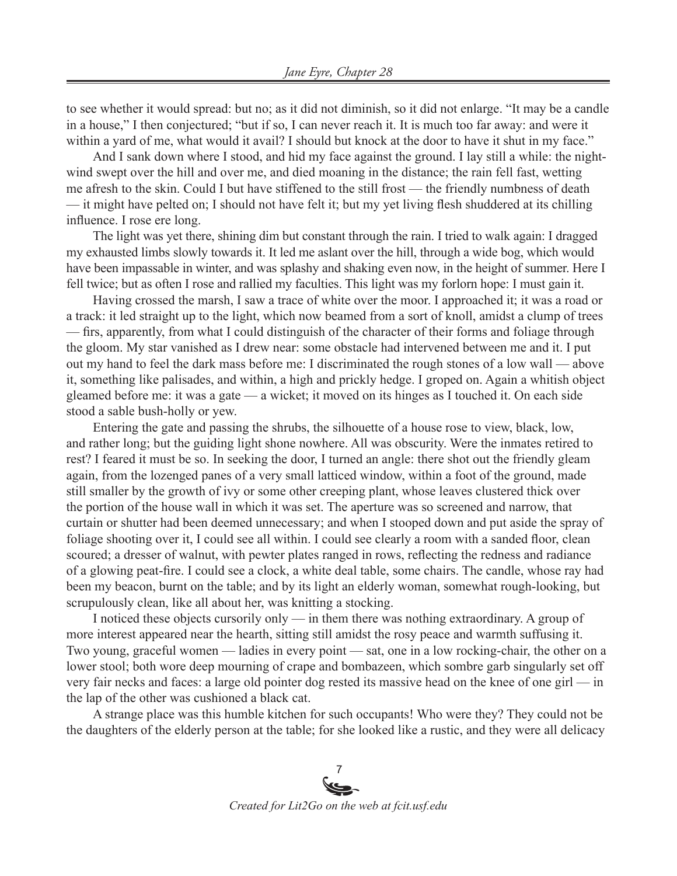to see whether it would spread: but no; as it did not diminish, so it did not enlarge. "It may be a candle in a house," I then conjectured; "but if so, I can never reach it. It is much too far away: and were it within a yard of me, what would it avail? I should but knock at the door to have it shut in my face."

And I sank down where I stood, and hid my face against the ground. I lay still a while: the nightwind swept over the hill and over me, and died moaning in the distance; the rain fell fast, wetting me afresh to the skin. Could I but have stiffened to the still frost — the friendly numbness of death — it might have pelted on; I should not have felt it; but my yet living flesh shuddered at its chilling influence. I rose ere long.

The light was yet there, shining dim but constant through the rain. I tried to walk again: I dragged my exhausted limbs slowly towards it. It led me aslant over the hill, through a wide bog, which would have been impassable in winter, and was splashy and shaking even now, in the height of summer. Here I fell twice; but as often I rose and rallied my faculties. This light was my forlorn hope: I must gain it.

Having crossed the marsh, I saw a trace of white over the moor. I approached it; it was a road or a track: it led straight up to the light, which now beamed from a sort of knoll, amidst a clump of trees — firs, apparently, from what I could distinguish of the character of their forms and foliage through the gloom. My star vanished as I drew near: some obstacle had intervened between me and it. I put out my hand to feel the dark mass before me: I discriminated the rough stones of a low wall — above it, something like palisades, and within, a high and prickly hedge. I groped on. Again a whitish object gleamed before me: it was a gate — a wicket; it moved on its hinges as I touched it. On each side stood a sable bush-holly or yew.

Entering the gate and passing the shrubs, the silhouette of a house rose to view, black, low, and rather long; but the guiding light shone nowhere. All was obscurity. Were the inmates retired to rest? I feared it must be so. In seeking the door, I turned an angle: there shot out the friendly gleam again, from the lozenged panes of a very small latticed window, within a foot of the ground, made still smaller by the growth of ivy or some other creeping plant, whose leaves clustered thick over the portion of the house wall in which it was set. The aperture was so screened and narrow, that curtain or shutter had been deemed unnecessary; and when I stooped down and put aside the spray of foliage shooting over it, I could see all within. I could see clearly a room with a sanded floor, clean scoured; a dresser of walnut, with pewter plates ranged in rows, reflecting the redness and radiance of a glowing peat-fire. I could see a clock, a white deal table, some chairs. The candle, whose ray had been my beacon, burnt on the table; and by its light an elderly woman, somewhat rough-looking, but scrupulously clean, like all about her, was knitting a stocking.

I noticed these objects cursorily only — in them there was nothing extraordinary. A group of more interest appeared near the hearth, sitting still amidst the rosy peace and warmth suffusing it. Two young, graceful women — ladies in every point — sat, one in a low rocking-chair, the other on a lower stool; both wore deep mourning of crape and bombazeen, which sombre garb singularly set off very fair necks and faces: a large old pointer dog rested its massive head on the knee of one girl — in the lap of the other was cushioned a black cat.

A strange place was this humble kitchen for such occupants! Who were they? They could not be the daughters of the elderly person at the table; for she looked like a rustic, and they were all delicacy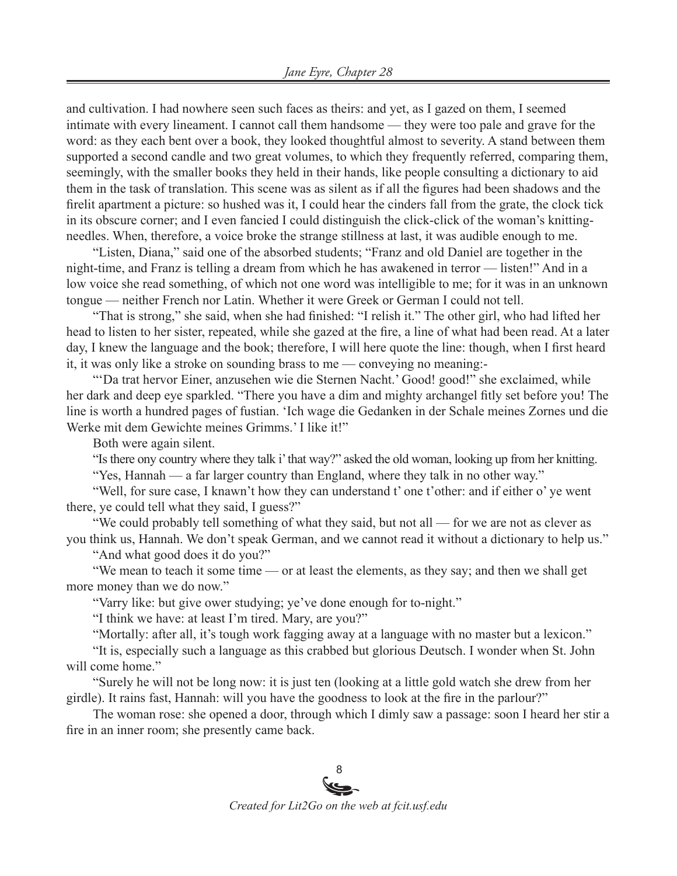and cultivation. I had nowhere seen such faces as theirs: and yet, as I gazed on them, I seemed intimate with every lineament. I cannot call them handsome — they were too pale and grave for the word: as they each bent over a book, they looked thoughtful almost to severity. A stand between them supported a second candle and two great volumes, to which they frequently referred, comparing them, seemingly, with the smaller books they held in their hands, like people consulting a dictionary to aid them in the task of translation. This scene was as silent as if all the figures had been shadows and the firelit apartment a picture: so hushed was it, I could hear the cinders fall from the grate, the clock tick in its obscure corner; and I even fancied I could distinguish the click-click of the woman's knittingneedles. When, therefore, a voice broke the strange stillness at last, it was audible enough to me.

"Listen, Diana," said one of the absorbed students; "Franz and old Daniel are together in the night-time, and Franz is telling a dream from which he has awakened in terror — listen!" And in a low voice she read something, of which not one word was intelligible to me; for it was in an unknown tongue — neither French nor Latin. Whether it were Greek or German I could not tell.

"That is strong," she said, when she had finished: "I relish it." The other girl, who had lifted her head to listen to her sister, repeated, while she gazed at the fire, a line of what had been read. At a later day, I knew the language and the book; therefore, I will here quote the line: though, when I first heard it, it was only like a stroke on sounding brass to me — conveying no meaning:-

"'Da trat hervor Einer, anzusehen wie die Sternen Nacht.' Good! good!" she exclaimed, while her dark and deep eye sparkled. "There you have a dim and mighty archangel fitly set before you! The line is worth a hundred pages of fustian. 'Ich wage die Gedanken in der Schale meines Zornes und die Werke mit dem Gewichte meines Grimms.' I like it!"

Both were again silent.

"Is there ony country where they talk i' that way?" asked the old woman, looking up from her knitting.

"Yes, Hannah — a far larger country than England, where they talk in no other way."

"Well, for sure case, I knawn't how they can understand t' one t'other: and if either o' ye went there, ye could tell what they said, I guess?"

"We could probably tell something of what they said, but not all — for we are not as clever as you think us, Hannah. We don't speak German, and we cannot read it without a dictionary to help us."

"And what good does it do you?"

"We mean to teach it some time — or at least the elements, as they say; and then we shall get more money than we do now."

"Varry like: but give ower studying; ye've done enough for to-night."

"I think we have: at least I'm tired. Mary, are you?"

"Mortally: after all, it's tough work fagging away at a language with no master but a lexicon."

"It is, especially such a language as this crabbed but glorious Deutsch. I wonder when St. John will come home."

"Surely he will not be long now: it is just ten (looking at a little gold watch she drew from her girdle). It rains fast, Hannah: will you have the goodness to look at the fire in the parlour?"

The woman rose: she opened a door, through which I dimly saw a passage: soon I heard her stir a fire in an inner room; she presently came back.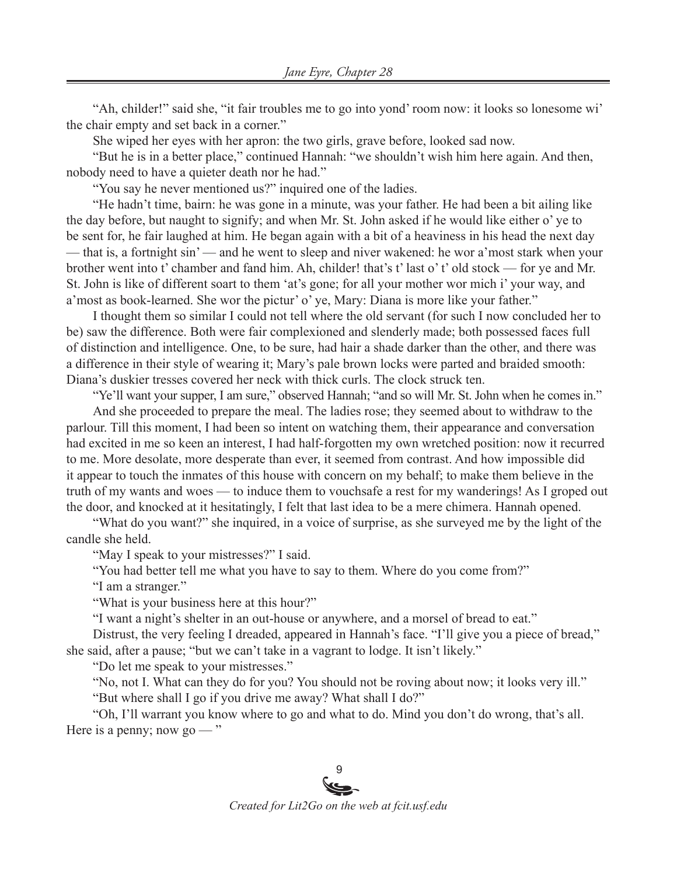"Ah, childer!" said she, "it fair troubles me to go into yond' room now: it looks so lonesome wi' the chair empty and set back in a corner."

She wiped her eyes with her apron: the two girls, grave before, looked sad now.

"But he is in a better place," continued Hannah: "we shouldn't wish him here again. And then, nobody need to have a quieter death nor he had."

"You say he never mentioned us?" inquired one of the ladies.

"He hadn't time, bairn: he was gone in a minute, was your father. He had been a bit ailing like the day before, but naught to signify; and when Mr. St. John asked if he would like either o' ye to be sent for, he fair laughed at him. He began again with a bit of a heaviness in his head the next day — that is, a fortnight sin' — and he went to sleep and niver wakened: he wor a'most stark when your brother went into t' chamber and fand him. Ah, childer! that's t' last o' t' old stock — for ye and Mr. St. John is like of different soart to them 'at's gone; for all your mother wor mich i' your way, and a'most as book-learned. She wor the pictur' o' ye, Mary: Diana is more like your father."

I thought them so similar I could not tell where the old servant (for such I now concluded her to be) saw the difference. Both were fair complexioned and slenderly made; both possessed faces full of distinction and intelligence. One, to be sure, had hair a shade darker than the other, and there was a difference in their style of wearing it; Mary's pale brown locks were parted and braided smooth: Diana's duskier tresses covered her neck with thick curls. The clock struck ten.

"Ye'll want your supper, I am sure," observed Hannah; "and so will Mr. St. John when he comes in."

And she proceeded to prepare the meal. The ladies rose; they seemed about to withdraw to the parlour. Till this moment, I had been so intent on watching them, their appearance and conversation had excited in me so keen an interest, I had half-forgotten my own wretched position: now it recurred to me. More desolate, more desperate than ever, it seemed from contrast. And how impossible did it appear to touch the inmates of this house with concern on my behalf; to make them believe in the truth of my wants and woes — to induce them to vouchsafe a rest for my wanderings! As I groped out the door, and knocked at it hesitatingly, I felt that last idea to be a mere chimera. Hannah opened.

"What do you want?" she inquired, in a voice of surprise, as she surveyed me by the light of the candle she held.

"May I speak to your mistresses?" I said.

"You had better tell me what you have to say to them. Where do you come from?"

"I am a stranger."

"What is your business here at this hour?"

"I want a night's shelter in an out-house or anywhere, and a morsel of bread to eat."

Distrust, the very feeling I dreaded, appeared in Hannah's face. "I'll give you a piece of bread," she said, after a pause; "but we can't take in a vagrant to lodge. It isn't likely."

"Do let me speak to your mistresses."

"No, not I. What can they do for you? You should not be roving about now; it looks very ill."

"But where shall I go if you drive me away? What shall I do?"

"Oh, I'll warrant you know where to go and what to do. Mind you don't do wrong, that's all. Here is a penny; now go  $-$ "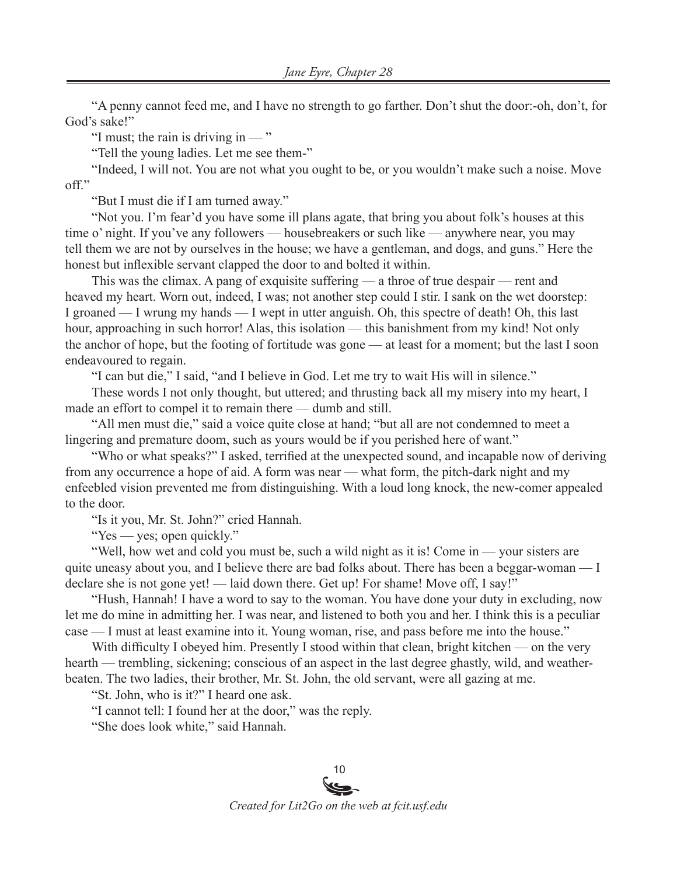"A penny cannot feed me, and I have no strength to go farther. Don't shut the door:-oh, don't, for God's sake!"

"I must; the rain is driving in  $-$ "

"Tell the young ladies. Let me see them-"

"Indeed, I will not. You are not what you ought to be, or you wouldn't make such a noise. Move off."

"But I must die if I am turned away."

"Not you. I'm fear'd you have some ill plans agate, that bring you about folk's houses at this time o' night. If you've any followers — housebreakers or such like — anywhere near, you may tell them we are not by ourselves in the house; we have a gentleman, and dogs, and guns." Here the honest but inflexible servant clapped the door to and bolted it within.

This was the climax. A pang of exquisite suffering — a throe of true despair — rent and heaved my heart. Worn out, indeed, I was; not another step could I stir. I sank on the wet doorstep: I groaned — I wrung my hands — I wept in utter anguish. Oh, this spectre of death! Oh, this last hour, approaching in such horror! Alas, this isolation — this banishment from my kind! Not only the anchor of hope, but the footing of fortitude was gone — at least for a moment; but the last I soon endeavoured to regain.

"I can but die," I said, "and I believe in God. Let me try to wait His will in silence."

These words I not only thought, but uttered; and thrusting back all my misery into my heart, I made an effort to compel it to remain there — dumb and still.

"All men must die," said a voice quite close at hand; "but all are not condemned to meet a lingering and premature doom, such as yours would be if you perished here of want."

"Who or what speaks?" I asked, terrified at the unexpected sound, and incapable now of deriving from any occurrence a hope of aid. A form was near — what form, the pitch-dark night and my enfeebled vision prevented me from distinguishing. With a loud long knock, the new-comer appealed to the door.

"Is it you, Mr. St. John?" cried Hannah.

"Yes — yes; open quickly."

"Well, how wet and cold you must be, such a wild night as it is! Come in — your sisters are quite uneasy about you, and I believe there are bad folks about. There has been a beggar-woman  $\overline{\phantom{a}}$  I declare she is not gone yet! — laid down there. Get up! For shame! Move off, I say!"

"Hush, Hannah! I have a word to say to the woman. You have done your duty in excluding, now let me do mine in admitting her. I was near, and listened to both you and her. I think this is a peculiar case — I must at least examine into it. Young woman, rise, and pass before me into the house."

With difficulty I obeyed him. Presently I stood within that clean, bright kitchen — on the very hearth — trembling, sickening; conscious of an aspect in the last degree ghastly, wild, and weatherbeaten. The two ladies, their brother, Mr. St. John, the old servant, were all gazing at me.

"St. John, who is it?" I heard one ask.

"I cannot tell: I found her at the door," was the reply.

"She does look white," said Hannah.

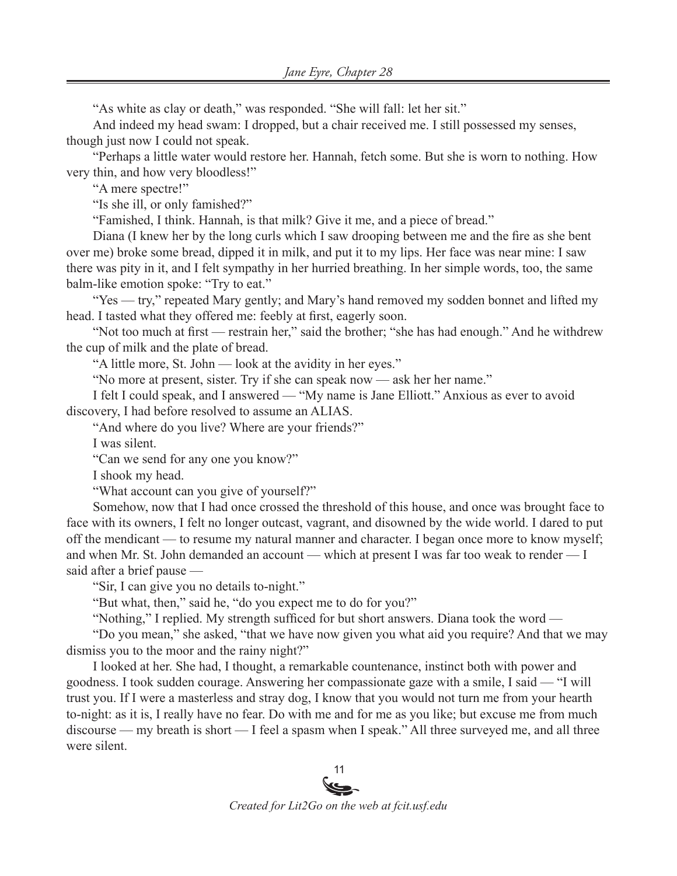"As white as clay or death," was responded. "She will fall: let her sit."

And indeed my head swam: I dropped, but a chair received me. I still possessed my senses, though just now I could not speak.

"Perhaps a little water would restore her. Hannah, fetch some. But she is worn to nothing. How very thin, and how very bloodless!"

"A mere spectre!"

"Is she ill, or only famished?"

"Famished, I think. Hannah, is that milk? Give it me, and a piece of bread."

Diana (I knew her by the long curls which I saw drooping between me and the fire as she bent over me) broke some bread, dipped it in milk, and put it to my lips. Her face was near mine: I saw there was pity in it, and I felt sympathy in her hurried breathing. In her simple words, too, the same balm-like emotion spoke: "Try to eat."

"Yes — try," repeated Mary gently; and Mary's hand removed my sodden bonnet and lifted my head. I tasted what they offered me: feebly at first, eagerly soon.

"Not too much at first — restrain her," said the brother; "she has had enough." And he withdrew the cup of milk and the plate of bread.

"A little more, St. John — look at the avidity in her eyes."

"No more at present, sister. Try if she can speak now — ask her her name."

I felt I could speak, and I answered — "My name is Jane Elliott." Anxious as ever to avoid discovery, I had before resolved to assume an ALIAS.

"And where do you live? Where are your friends?"

I was silent.

"Can we send for any one you know?"

I shook my head.

"What account can you give of yourself?"

Somehow, now that I had once crossed the threshold of this house, and once was brought face to face with its owners, I felt no longer outcast, vagrant, and disowned by the wide world. I dared to put off the mendicant — to resume my natural manner and character. I began once more to know myself; and when Mr. St. John demanded an account — which at present I was far too weak to render — I said after a brief pause —

"Sir, I can give you no details to-night."

"But what, then," said he, "do you expect me to do for you?"

"Nothing," I replied. My strength sufficed for but short answers. Diana took the word —

"Do you mean," she asked, "that we have now given you what aid you require? And that we may dismiss you to the moor and the rainy night?"

I looked at her. She had, I thought, a remarkable countenance, instinct both with power and goodness. I took sudden courage. Answering her compassionate gaze with a smile, I said — "I will trust you. If I were a masterless and stray dog, I know that you would not turn me from your hearth to-night: as it is, I really have no fear. Do with me and for me as you like; but excuse me from much discourse — my breath is short — I feel a spasm when I speak." All three surveyed me, and all three were silent.